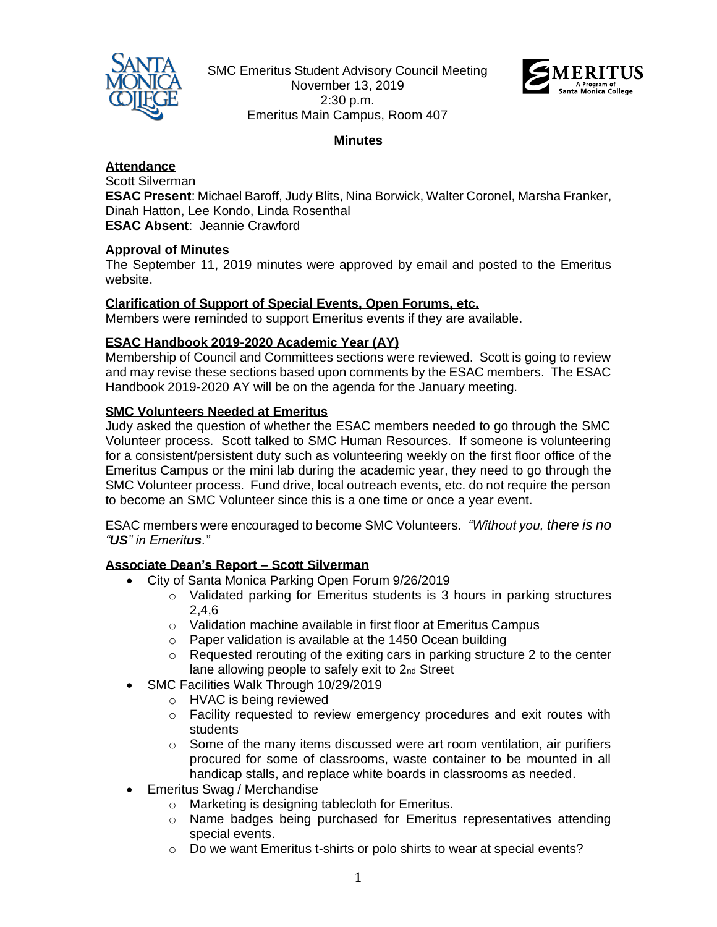

SMC Emeritus Student Advisory Council Meeting November 13, 2019 2:30 p.m. Emeritus Main Campus, Room 407



### **Minutes**

#### **Attendance**

Scott Silverman **ESAC Present**: Michael Baroff, Judy Blits, Nina Borwick, Walter Coronel, Marsha Franker, Dinah Hatton, Lee Kondo, Linda Rosenthal **ESAC Absent**: Jeannie Crawford

## **Approval of Minutes**

The September 11, 2019 minutes were approved by email and posted to the Emeritus website.

#### **Clarification of Support of Special Events, Open Forums, etc.**

Members were reminded to support Emeritus events if they are available.

## **ESAC Handbook 2019-2020 Academic Year (AY)**

Membership of Council and Committees sections were reviewed. Scott is going to review and may revise these sections based upon comments by the ESAC members. The ESAC Handbook 2019-2020 AY will be on the agenda for the January meeting.

#### **SMC Volunteers Needed at Emeritus**

Judy asked the question of whether the ESAC members needed to go through the SMC Volunteer process. Scott talked to SMC Human Resources. If someone is volunteering for a consistent/persistent duty such as volunteering weekly on the first floor office of the Emeritus Campus or the mini lab during the academic year, they need to go through the SMC Volunteer process. Fund drive, local outreach events, etc. do not require the person to become an SMC Volunteer since this is a one time or once a year event.

ESAC members were encouraged to become SMC Volunteers. *"Without you, there is no "US" in Emeritus."*

## **Associate Dean's Report – Scott Silverman**

- City of Santa Monica Parking Open Forum 9/26/2019
	- $\circ$  Validated parking for Emeritus students is 3 hours in parking structures 2,4,6
	- o Validation machine available in first floor at Emeritus Campus
	- o Paper validation is available at the 1450 Ocean building
	- $\circ$  Requested rerouting of the exiting cars in parking structure 2 to the center lane allowing people to safely exit to 2nd Street
- SMC Facilities Walk Through 10/29/2019
	- o HVAC is being reviewed
	- o Facility requested to review emergency procedures and exit routes with students
	- $\circ$  Some of the many items discussed were art room ventilation, air purifiers procured for some of classrooms, waste container to be mounted in all handicap stalls, and replace white boards in classrooms as needed.
- Emeritus Swag / Merchandise
	- o Marketing is designing tablecloth for Emeritus.
	- o Name badges being purchased for Emeritus representatives attending special events.
	- o Do we want Emeritus t-shirts or polo shirts to wear at special events?